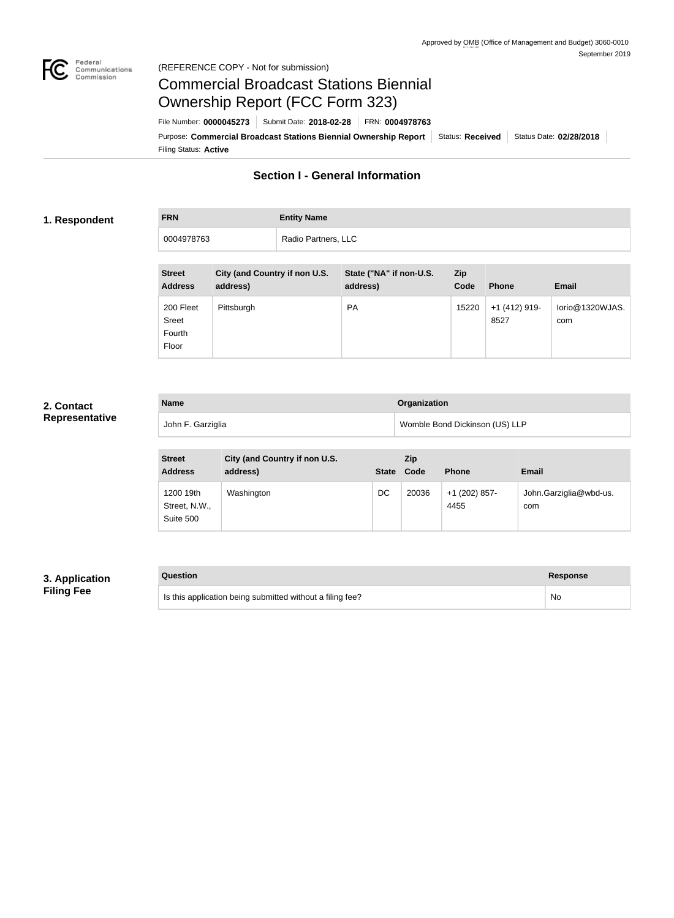

#### Federal<br>Communications<br>Commission (REFERENCE COPY - Not for submission)

## Commercial Broadcast Stations Biennial Ownership Report (FCC Form 323)

Filing Status: **Active** Purpose: Commercial Broadcast Stations Biennial Ownership Report Status: Received Status Date: 02/28/2018 File Number: **0000045273** Submit Date: **2018-02-28** FRN: **0004978763**

## **Section I - General Information**

#### **1. Respondent**

# **FRN Entity Name** 0004978763 Radio Partners, LLC

| <b>Street</b><br><b>Address</b>       | <b>City (and Country if non U.S.</b><br>address) | State ("NA" if non-U.S.<br>address) | <b>Zip</b><br>Code | <b>Phone</b>            | <b>Email</b>           |
|---------------------------------------|--------------------------------------------------|-------------------------------------|--------------------|-------------------------|------------------------|
| 200 Fleet<br>Sreet<br>Fourth<br>Floor | Pittsburgh                                       | <b>PA</b>                           | 15220              | $+1$ (412) 919-<br>8527 | lorio@1320WJAS.<br>com |

#### **2. Contact Representative**

| <b>Name</b>       | <b>Organization</b>            |
|-------------------|--------------------------------|
| John F. Garziglia | Womble Bond Dickinson (US) LLP |

| <b>Street</b><br><b>Address</b>         | City (and Country if non U.S.<br>address) | <b>State</b> | Zip<br>Code | <b>Phone</b>            | <b>Email</b>                  |
|-----------------------------------------|-------------------------------------------|--------------|-------------|-------------------------|-------------------------------|
| 1200 19th<br>Street, N.W.,<br>Suite 500 | Washington                                | DC           | 20036       | $+1$ (202) 857-<br>4455 | John.Garziglia@wbd-us.<br>com |

### **3. Application Filing Fee**

| Question                                                  | Response |
|-----------------------------------------------------------|----------|
| Is this application being submitted without a filing fee? | No       |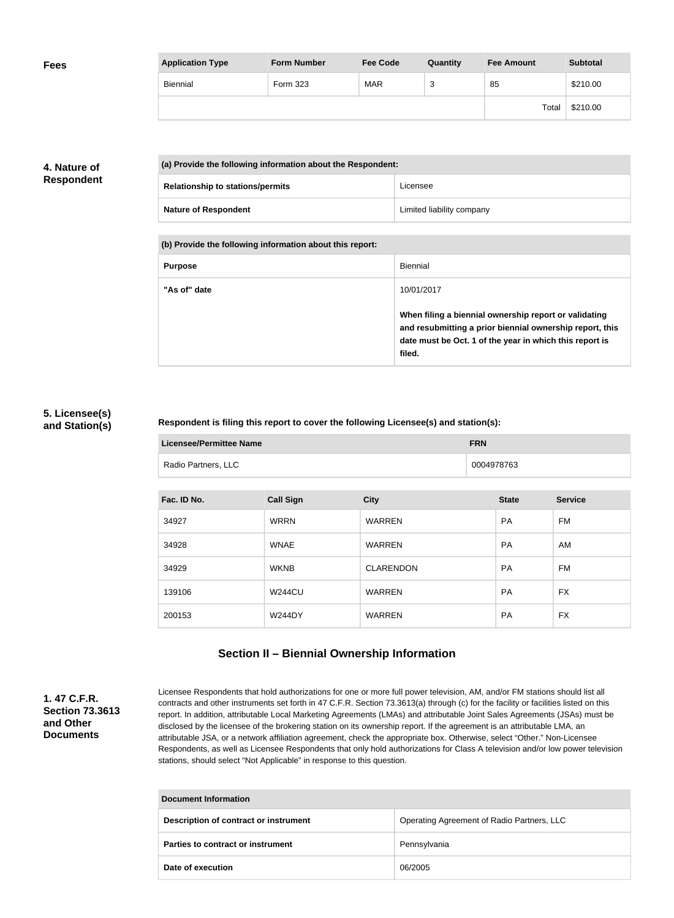| <b>Fees</b> | <b>Application Type</b> | <b>Form Number</b> | <b>Fee Code</b> | Quantity | <b>Fee Amount</b> | <b>Subtotal</b> |
|-------------|-------------------------|--------------------|-----------------|----------|-------------------|-----------------|
|             | Biennial                | Form 323           | <b>MAR</b>      | ົ<br>د   | 85                | \$210.00        |
|             |                         |                    |                 |          | Total             | \$210.00        |

#### **4. Nature of Respondent**

| (a) Provide the following information about the Respondent: |                                         |                           |
|-------------------------------------------------------------|-----------------------------------------|---------------------------|
|                                                             | <b>Relationship to stations/permits</b> | Licensee                  |
|                                                             | <b>Nature of Respondent</b>             | Limited liability company |

**(b) Provide the following information about this report:**

| <b>Purpose</b> | Biennial                                                                                                                                                                               |
|----------------|----------------------------------------------------------------------------------------------------------------------------------------------------------------------------------------|
| "As of" date   | 10/01/2017                                                                                                                                                                             |
|                | When filing a biennial ownership report or validating<br>and resubmitting a prior biennial ownership report, this<br>date must be Oct. 1 of the year in which this report is<br>filed. |

#### **5. Licensee(s) and Station(s)**

#### **Respondent is filing this report to cover the following Licensee(s) and station(s):**

| Licensee/Permittee Name | <b>FRN</b> |
|-------------------------|------------|
| Radio Partners, LLC     | 0004978763 |

| Fac. ID No. | <b>Call Sign</b> | <b>City</b>      | <b>State</b> | <b>Service</b> |
|-------------|------------------|------------------|--------------|----------------|
| 34927       | <b>WRRN</b>      | <b>WARREN</b>    | <b>PA</b>    | FM             |
| 34928       | <b>WNAE</b>      | <b>WARREN</b>    | <b>PA</b>    | AM             |
| 34929       | <b>WKNB</b>      | <b>CLARENDON</b> | <b>PA</b>    | FM             |
| 139106      | <b>W244CU</b>    | <b>WARREN</b>    | <b>PA</b>    | <b>FX</b>      |
| 200153      | <b>W244DY</b>    | <b>WARREN</b>    | <b>PA</b>    | <b>FX</b>      |

## **Section II – Biennial Ownership Information**

#### **1. 47 C.F.R. Section 73.3613 and Other Documents**

Licensee Respondents that hold authorizations for one or more full power television, AM, and/or FM stations should list all contracts and other instruments set forth in 47 C.F.R. Section 73.3613(a) through (c) for the facility or facilities listed on this report. In addition, attributable Local Marketing Agreements (LMAs) and attributable Joint Sales Agreements (JSAs) must be disclosed by the licensee of the brokering station on its ownership report. If the agreement is an attributable LMA, an attributable JSA, or a network affiliation agreement, check the appropriate box. Otherwise, select "Other." Non-Licensee Respondents, as well as Licensee Respondents that only hold authorizations for Class A television and/or low power television stations, should select "Not Applicable" in response to this question.

| <b>Document Information</b>           |                                            |  |
|---------------------------------------|--------------------------------------------|--|
| Description of contract or instrument | Operating Agreement of Radio Partners, LLC |  |
| Parties to contract or instrument     | Pennsylvania                               |  |
| Date of execution                     | 06/2005                                    |  |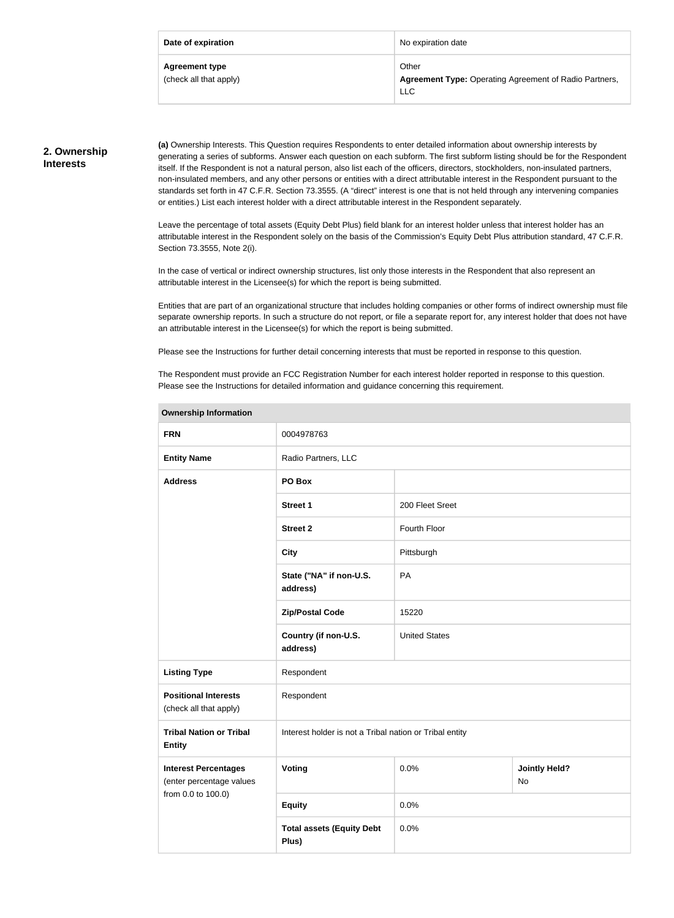| Date of expiration                              | No expiration date                                                                   |
|-------------------------------------------------|--------------------------------------------------------------------------------------|
| <b>Agreement type</b><br>(check all that apply) | Other<br><b>Agreement Type: Operating Agreement of Radio Partners,</b><br><b>LLC</b> |

#### **2. Ownership Interests**

**(a)** Ownership Interests. This Question requires Respondents to enter detailed information about ownership interests by generating a series of subforms. Answer each question on each subform. The first subform listing should be for the Respondent itself. If the Respondent is not a natural person, also list each of the officers, directors, stockholders, non-insulated partners, non-insulated members, and any other persons or entities with a direct attributable interest in the Respondent pursuant to the standards set forth in 47 C.F.R. Section 73.3555. (A "direct" interest is one that is not held through any intervening companies or entities.) List each interest holder with a direct attributable interest in the Respondent separately.

Leave the percentage of total assets (Equity Debt Plus) field blank for an interest holder unless that interest holder has an attributable interest in the Respondent solely on the basis of the Commission's Equity Debt Plus attribution standard, 47 C.F.R. Section 73.3555, Note 2(i).

In the case of vertical or indirect ownership structures, list only those interests in the Respondent that also represent an attributable interest in the Licensee(s) for which the report is being submitted.

Entities that are part of an organizational structure that includes holding companies or other forms of indirect ownership must file separate ownership reports. In such a structure do not report, or file a separate report for, any interest holder that does not have an attributable interest in the Licensee(s) for which the report is being submitted.

Please see the Instructions for further detail concerning interests that must be reported in response to this question.

The Respondent must provide an FCC Registration Number for each interest holder reported in response to this question. Please see the Instructions for detailed information and guidance concerning this requirement.

| <b>FRN</b>                                              | 0004978763                                              |                      |                                   |  |
|---------------------------------------------------------|---------------------------------------------------------|----------------------|-----------------------------------|--|
| <b>Entity Name</b>                                      | Radio Partners, LLC                                     |                      |                                   |  |
| <b>Address</b>                                          | PO Box                                                  |                      |                                   |  |
|                                                         | <b>Street 1</b>                                         | 200 Fleet Sreet      |                                   |  |
|                                                         | <b>Street 2</b>                                         | Fourth Floor         |                                   |  |
|                                                         | <b>City</b>                                             | Pittsburgh           |                                   |  |
|                                                         | State ("NA" if non-U.S.<br>address)                     | PA                   |                                   |  |
|                                                         | <b>Zip/Postal Code</b>                                  | 15220                |                                   |  |
|                                                         | Country (if non-U.S.<br>address)                        | <b>United States</b> |                                   |  |
| <b>Listing Type</b>                                     | Respondent                                              |                      |                                   |  |
| <b>Positional Interests</b><br>(check all that apply)   | Respondent                                              |                      |                                   |  |
| <b>Tribal Nation or Tribal</b><br><b>Entity</b>         | Interest holder is not a Tribal nation or Tribal entity |                      |                                   |  |
| <b>Interest Percentages</b><br>(enter percentage values | Voting                                                  | 0.0%                 | <b>Jointly Held?</b><br><b>No</b> |  |
| from 0.0 to 100.0)                                      | <b>Equity</b>                                           | 0.0%                 |                                   |  |
|                                                         | <b>Total assets (Equity Debt</b><br>Plus)               | 0.0%                 |                                   |  |

#### **Ownership Information**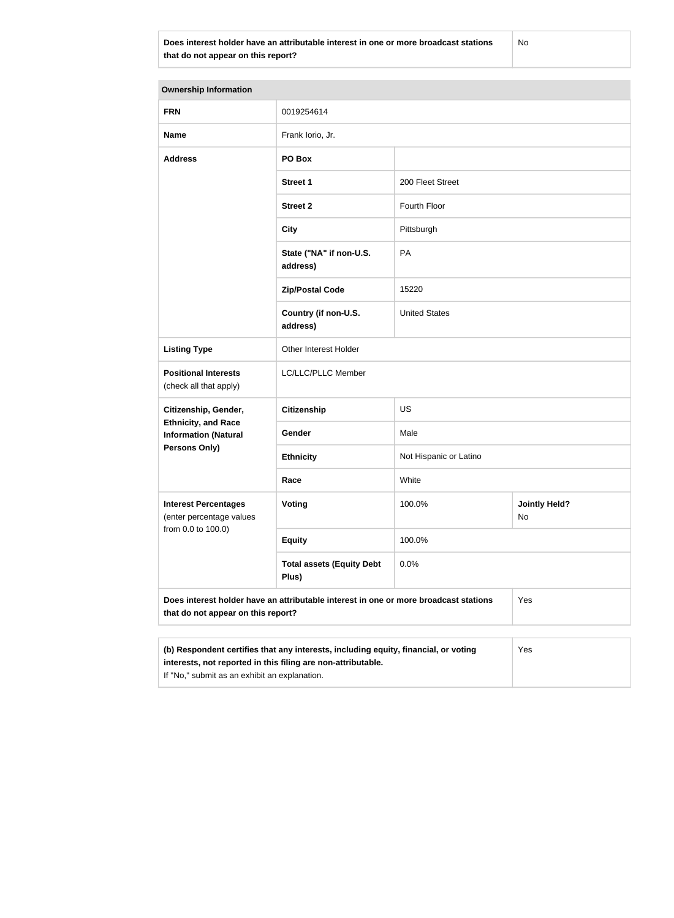**Does interest holder have an attributable interest in one or more broadcast stations that do not appear on this report?**

No

| <b>Ownership Information</b>                                                                                               |                                                                                                                                                     |                        |                            |  |
|----------------------------------------------------------------------------------------------------------------------------|-----------------------------------------------------------------------------------------------------------------------------------------------------|------------------------|----------------------------|--|
| <b>FRN</b>                                                                                                                 | 0019254614                                                                                                                                          |                        |                            |  |
| <b>Name</b>                                                                                                                | Frank lorio, Jr.                                                                                                                                    |                        |                            |  |
| <b>Address</b>                                                                                                             | PO Box                                                                                                                                              |                        |                            |  |
|                                                                                                                            | <b>Street 1</b>                                                                                                                                     | 200 Fleet Street       |                            |  |
|                                                                                                                            | <b>Street 2</b>                                                                                                                                     | Fourth Floor           |                            |  |
|                                                                                                                            | <b>City</b>                                                                                                                                         | Pittsburgh             |                            |  |
|                                                                                                                            | State ("NA" if non-U.S.<br>address)                                                                                                                 | PA                     |                            |  |
|                                                                                                                            | <b>Zip/Postal Code</b>                                                                                                                              | 15220                  |                            |  |
|                                                                                                                            | Country (if non-U.S.<br>address)                                                                                                                    | <b>United States</b>   |                            |  |
| <b>Listing Type</b>                                                                                                        | Other Interest Holder                                                                                                                               |                        |                            |  |
| <b>Positional Interests</b><br>(check all that apply)                                                                      | LC/LLC/PLLC Member                                                                                                                                  |                        |                            |  |
| Citizenship, Gender,<br><b>Ethnicity, and Race</b><br><b>Information (Natural</b><br>Persons Only)                         | <b>Citizenship</b>                                                                                                                                  | <b>US</b>              |                            |  |
|                                                                                                                            | Gender                                                                                                                                              | Male                   |                            |  |
|                                                                                                                            | <b>Ethnicity</b>                                                                                                                                    | Not Hispanic or Latino |                            |  |
|                                                                                                                            | Race                                                                                                                                                | White                  |                            |  |
| <b>Interest Percentages</b><br>(enter percentage values<br>from 0.0 to 100.0)                                              | Voting                                                                                                                                              | 100.0%                 | <b>Jointly Held?</b><br>No |  |
|                                                                                                                            | <b>Equity</b>                                                                                                                                       | 100.0%                 |                            |  |
|                                                                                                                            | <b>Total assets (Equity Debt</b><br>Plus)                                                                                                           | 0.0%                   |                            |  |
| Does interest holder have an attributable interest in one or more broadcast stations<br>that do not appear on this report? |                                                                                                                                                     |                        | Yes                        |  |
| If "No," submit as an exhibit an explanation.                                                                              | (b) Respondent certifies that any interests, including equity, financial, or voting<br>interests, not reported in this filing are non-attributable. |                        | Yes                        |  |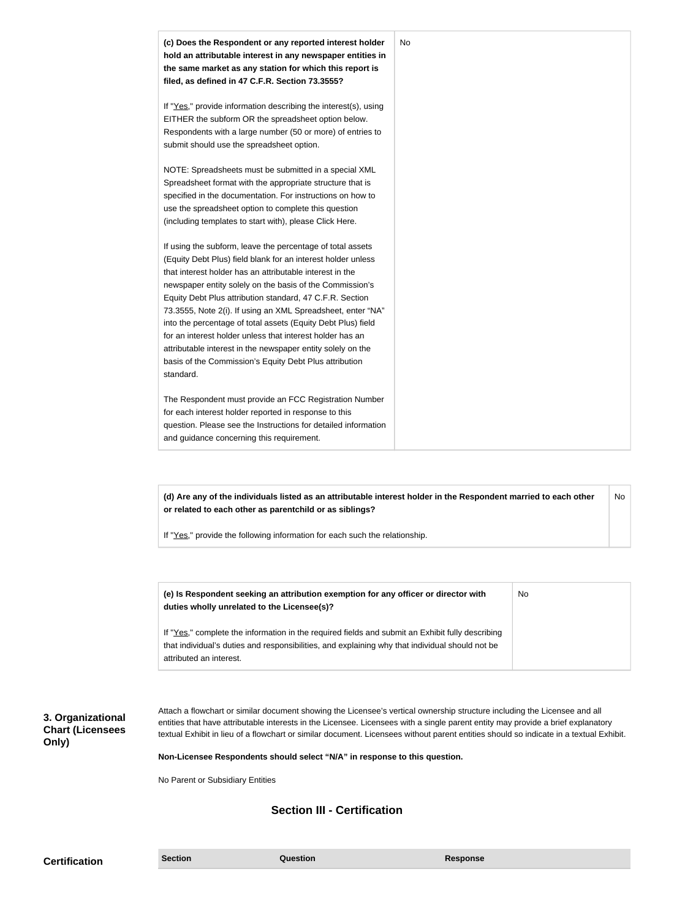| (c) Does the Respondent or any reported interest holder<br>hold an attributable interest in any newspaper entities in<br>the same market as any station for which this report is<br>filed, as defined in 47 C.F.R. Section 73.3555?                                                                                                                                                                                                                                                                                                                                                                                                              | No |
|--------------------------------------------------------------------------------------------------------------------------------------------------------------------------------------------------------------------------------------------------------------------------------------------------------------------------------------------------------------------------------------------------------------------------------------------------------------------------------------------------------------------------------------------------------------------------------------------------------------------------------------------------|----|
| If "Yes," provide information describing the interest(s), using<br>EITHER the subform OR the spreadsheet option below.<br>Respondents with a large number (50 or more) of entries to<br>submit should use the spreadsheet option.                                                                                                                                                                                                                                                                                                                                                                                                                |    |
| NOTE: Spreadsheets must be submitted in a special XML<br>Spreadsheet format with the appropriate structure that is<br>specified in the documentation. For instructions on how to<br>use the spreadsheet option to complete this question<br>(including templates to start with), please Click Here.                                                                                                                                                                                                                                                                                                                                              |    |
| If using the subform, leave the percentage of total assets<br>(Equity Debt Plus) field blank for an interest holder unless<br>that interest holder has an attributable interest in the<br>newspaper entity solely on the basis of the Commission's<br>Equity Debt Plus attribution standard, 47 C.F.R. Section<br>73.3555, Note 2(i). If using an XML Spreadsheet, enter "NA"<br>into the percentage of total assets (Equity Debt Plus) field<br>for an interest holder unless that interest holder has an<br>attributable interest in the newspaper entity solely on the<br>basis of the Commission's Equity Debt Plus attribution<br>standard. |    |
| The Respondent must provide an FCC Registration Number<br>for each interest holder reported in response to this<br>question. Please see the Instructions for detailed information<br>and guidance concerning this requirement.                                                                                                                                                                                                                                                                                                                                                                                                                   |    |

**(d) Are any of the individuals listed as an attributable interest holder in the Respondent married to each other or related to each other as parentchild or as siblings?** No

If "Yes," provide the following information for each such the relationship.

| (e) Is Respondent seeking an attribution exemption for any officer or director with<br>duties wholly unrelated to the Licensee(s)? | No. |
|------------------------------------------------------------------------------------------------------------------------------------|-----|
| If "Yes," complete the information in the required fields and submit an Exhibit fully describing                                   |     |
| that individual's duties and responsibilities, and explaining why that individual should not be                                    |     |
| attributed an interest.                                                                                                            |     |

**3. Organizational Chart (Licensees Only)**

Attach a flowchart or similar document showing the Licensee's vertical ownership structure including the Licensee and all entities that have attributable interests in the Licensee. Licensees with a single parent entity may provide a brief explanatory textual Exhibit in lieu of a flowchart or similar document. Licensees without parent entities should so indicate in a textual Exhibit.

**Non-Licensee Respondents should select "N/A" in response to this question.**

No Parent or Subsidiary Entities

## **Section III - Certification**

**Certification Section Section Question** *Question* **Response**